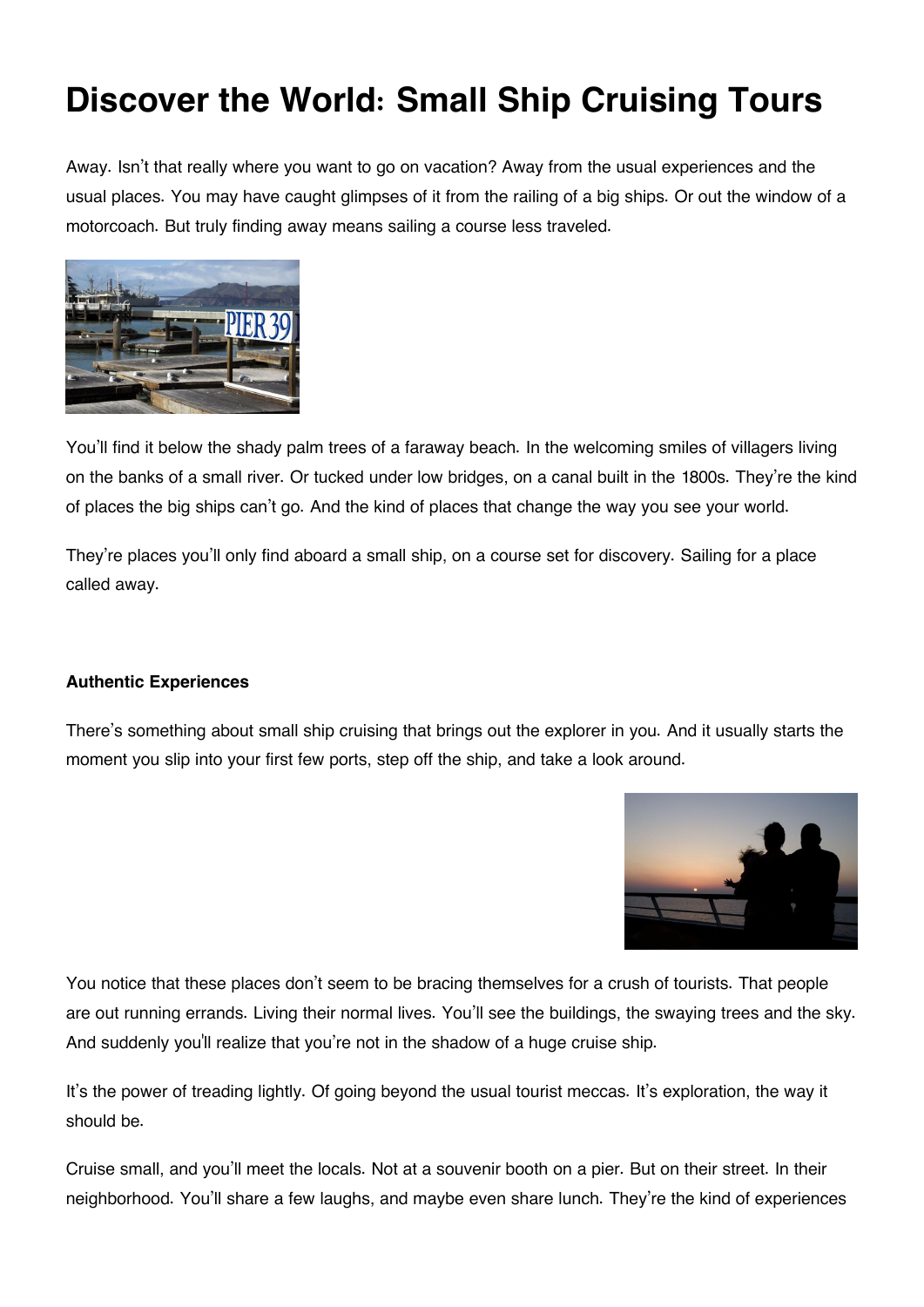## **Discover the World: Small Ship Cruising Tours**

Away. Isn't that really where you want to go on vacation? Away from the usual experiences and the usual places. You may have caught glimpses of it from the railing of a big ships. Or out the window of a motorcoach. But truly finding away means sailing a course less traveled.



You'll find it below the shady palm trees of a faraway beach. In the welcoming smiles of villagers living on the banks of a small river. Or tucked under low bridges, on a canal built in the 1800s. They're the kind of places the big ships can't go. And the kind of places that change the way you see your world.

They're places you'll only find aboard a small ship, on a course set for discovery. Sailing for a place called away.

## **Authentic Experiences**

There's something about small ship cruising that brings out the explorer in you. And it usually starts the moment you slip into your first few ports, step off the ship, and take a look around.



You notice that these places don't seem to be bracing themselves for a crush of tourists. That people are out running errands. Living their normal lives. You'll see the buildings, the swaying trees and the sky. And suddenly you'll realize that you're not in the shadow of a huge cruise ship.

It's the power of treading lightly. Of going beyond the usual tourist meccas. It's exploration, the way it should be.

Cruise small, and you'll meet the locals. Not at a souvenir booth on a pier. But on their street. In their neighborhood. You'll share a few laughs, and maybe even share lunch. They're the kind of experiences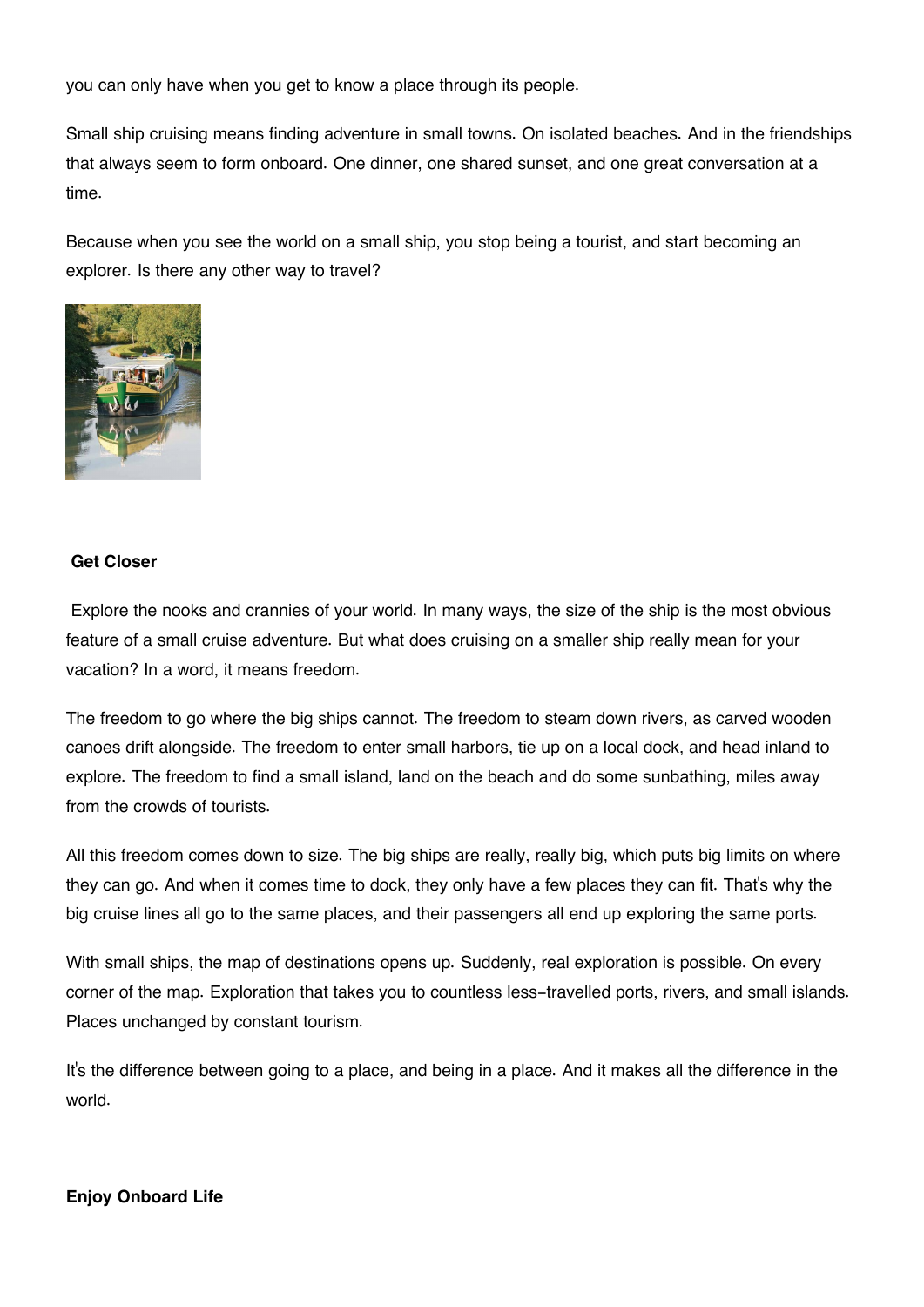you can only have when you get to know a place through its people.

Small ship cruising means finding adventure in small towns. On isolated beaches. And in the friendships that always seem to form onboard. One dinner, one shared sunset, and one great conversation at a time.

Because when you see the world on a small ship, you stop being a tourist, and start becoming an explorer. Is there any other way to travel?



## **Get Closer**

 Explore the nooks and crannies of your world. In many ways, the size of the ship is the most obvious feature of a small cruise adventure. But what does cruising on a smaller ship really mean for your vacation? In a word, it means freedom.

The freedom to go where the big ships cannot. The freedom to steam down rivers, as carved wooden canoes drift alongside. The freedom to enter small harbors, tie up on a local dock, and head inland to explore. The freedom to find a small island, land on the beach and do some sunbathing, miles away from the crowds of tourists.

All this freedom comes down to size. The big ships are really, really big, which puts big limits on where they can go. And when it comes time to dock, they only have a few places they can fit. That's why the big cruise lines all go to the same places, and their passengers all end up exploring the same ports.

With small ships, the map of destinations opens up. Suddenly, real exploration is possible. On every corner of the map. Exploration that takes you to countless less-travelled ports, rivers, and small islands. Places unchanged by constant tourism.

It's the difference between going to a place, and being in a place. And it makes all the difference in the world.

## **Enjoy Onboard Life**